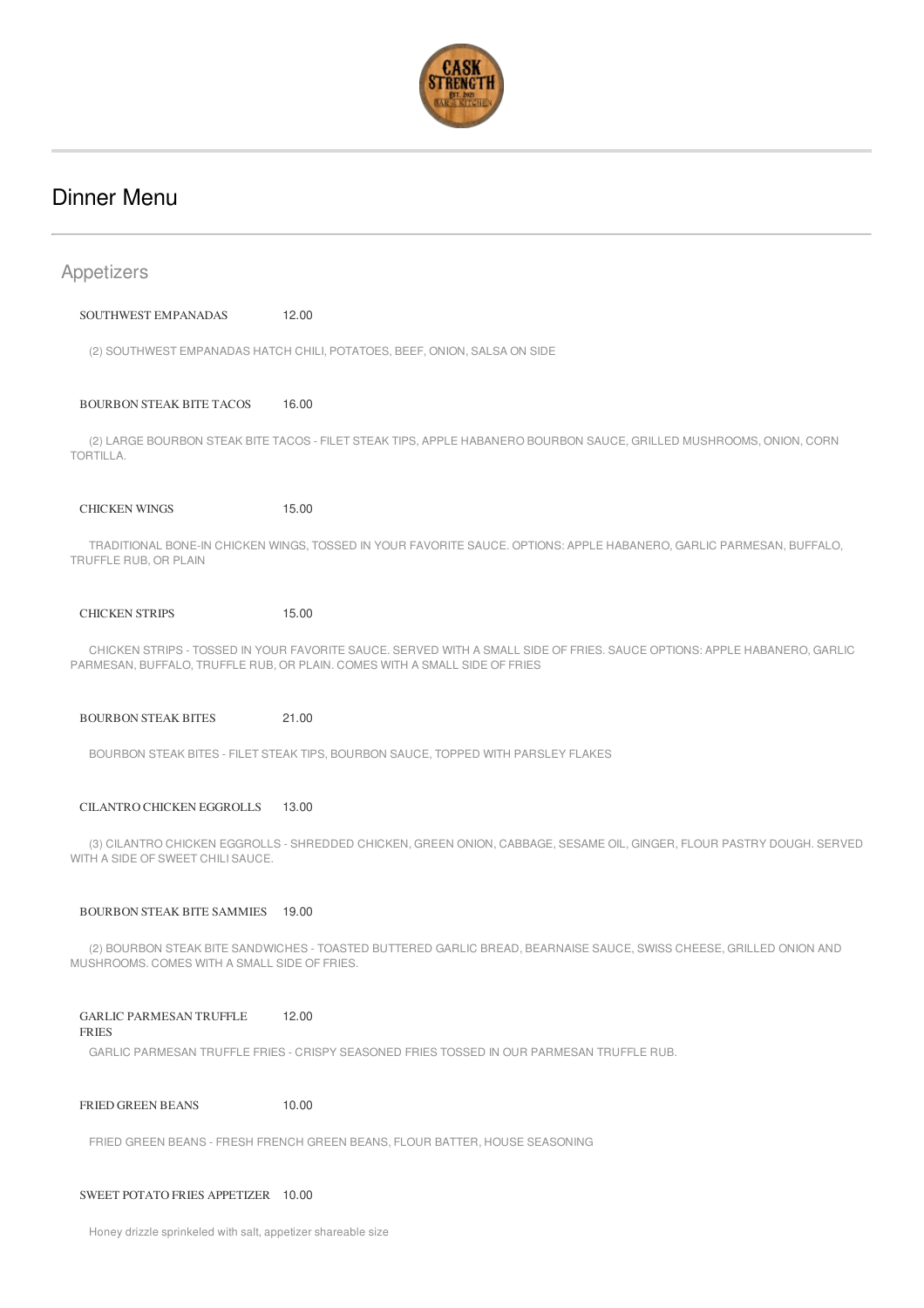

# Dinner Menu

| Appetizers                                                                                                                                                                                             |                                                                                                                      |  |  |  |
|--------------------------------------------------------------------------------------------------------------------------------------------------------------------------------------------------------|----------------------------------------------------------------------------------------------------------------------|--|--|--|
| SOUTHWEST EMPANADAS                                                                                                                                                                                    | 12.00                                                                                                                |  |  |  |
| (2) SOUTHWEST EMPANADAS HATCH CHILI, POTATOES, BEEF, ONION, SALSA ON SIDE                                                                                                                              |                                                                                                                      |  |  |  |
| <b>BOURBON STEAK BITE TACOS</b>                                                                                                                                                                        | 16.00                                                                                                                |  |  |  |
| TORTILLA.                                                                                                                                                                                              | (2) LARGE BOURBON STEAK BITE TACOS - FILET STEAK TIPS, APPLE HABANERO BOURBON SAUCE, GRILLED MUSHROOMS, ONION, CORN  |  |  |  |
| <b>CHICKEN WINGS</b>                                                                                                                                                                                   | 15.00                                                                                                                |  |  |  |
| TRUFFLE RUB, OR PLAIN                                                                                                                                                                                  | TRADITIONAL BONE-IN CHICKEN WINGS, TOSSED IN YOUR FAVORITE SAUCE. OPTIONS: APPLE HABANERO, GARLIC PARMESAN, BUFFALO, |  |  |  |
| <b>CHICKEN STRIPS</b>                                                                                                                                                                                  | 15.00                                                                                                                |  |  |  |
| CHICKEN STRIPS - TOSSED IN YOUR FAVORITE SAUCE. SERVED WITH A SMALL SIDE OF FRIES. SAUCE OPTIONS: APPLE HABANERO, GARLIC<br>PARMESAN, BUFFALO, TRUFFLE RUB, OR PLAIN. COMES WITH A SMALL SIDE OF FRIES |                                                                                                                      |  |  |  |
| <b>BOURBON STEAK BITES</b>                                                                                                                                                                             | 21.00                                                                                                                |  |  |  |
|                                                                                                                                                                                                        | BOURBON STEAK BITES - FILET STEAK TIPS, BOURBON SAUCE, TOPPED WITH PARSLEY FLAKES                                    |  |  |  |
| CILANTRO CHICKEN EGGROLLS                                                                                                                                                                              | 13.00                                                                                                                |  |  |  |
| (3) CILANTRO CHICKEN EGGROLLS - SHREDDED CHICKEN, GREEN ONION, CABBAGE, SESAME OIL, GINGER, FLOUR PASTRY DOUGH. SERVED<br>WITH A SIDE OF SWEET CHILI SAUCE.                                            |                                                                                                                      |  |  |  |
| <b>BOURBON STEAK BITE SAMMIES</b>                                                                                                                                                                      | 19.00                                                                                                                |  |  |  |
| MUSHROOMS. COMES WITH A SMALL SIDE OF FRIES.                                                                                                                                                           | (2) BOURBON STEAK BITE SANDWICHES - TOASTED BUTTERED GARLIC BREAD, BEARNAISE SAUCE, SWISS CHEESE, GRILLED ONION AND  |  |  |  |
| <b>GARLIC PARMESAN TRUFFLE</b><br><b>FRIES</b>                                                                                                                                                         | 12.00                                                                                                                |  |  |  |
|                                                                                                                                                                                                        | GARLIC PARMESAN TRUFFLE FRIES - CRISPY SEASONED FRIES TOSSED IN OUR PARMESAN TRUFFLE RUB.                            |  |  |  |
| <b>FRIED GREEN BEANS</b>                                                                                                                                                                               | 10.00                                                                                                                |  |  |  |
|                                                                                                                                                                                                        | FRIED GREEN BEANS - FRESH FRENCH GREEN BEANS, FLOUR BATTER, HOUSE SEASONING                                          |  |  |  |
| SWEET POTATO FRIES APPETIZER 10.00                                                                                                                                                                     |                                                                                                                      |  |  |  |

Honey drizzle sprinkeled with salt, appetizer shareable size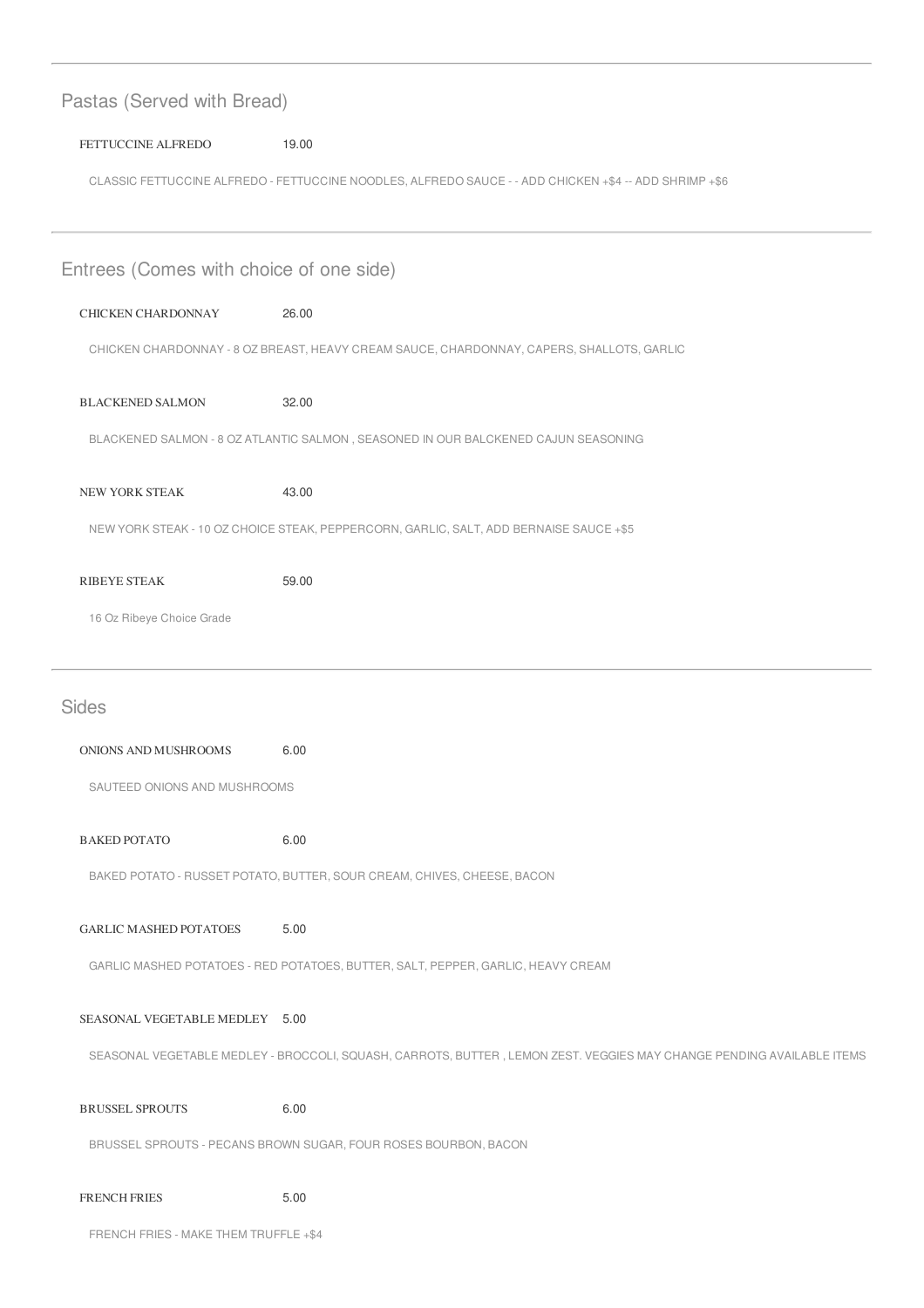| Pastas (Served with Bread)                                                                |                                                                                                                       |  |  |  |
|-------------------------------------------------------------------------------------------|-----------------------------------------------------------------------------------------------------------------------|--|--|--|
| FETTUCCINE ALFREDO                                                                        | 19.00                                                                                                                 |  |  |  |
|                                                                                           | CLASSIC FETTUCCINE ALFREDO - FETTUCCINE NOODLES, ALFREDO SAUCE - - ADD CHICKEN +\$4 -- ADD SHRIMP +\$6                |  |  |  |
|                                                                                           |                                                                                                                       |  |  |  |
| Entrees (Comes with choice of one side)                                                   |                                                                                                                       |  |  |  |
| CHICKEN CHARDONNAY                                                                        | 26.00                                                                                                                 |  |  |  |
| CHICKEN CHARDONNAY - 8 OZ BREAST, HEAVY CREAM SAUCE, CHARDONNAY, CAPERS, SHALLOTS, GARLIC |                                                                                                                       |  |  |  |
| <b>BLACKENED SALMON</b>                                                                   | 32.00                                                                                                                 |  |  |  |
| BLACKENED SALMON - 8 OZ ATLANTIC SALMON, SEASONED IN OUR BALCKENED CAJUN SEASONING        |                                                                                                                       |  |  |  |
| NEW YORK STEAK                                                                            | 43.00                                                                                                                 |  |  |  |
| NEW YORK STEAK - 10 OZ CHOICE STEAK, PEPPERCORN, GARLIC, SALT, ADD BERNAISE SAUCE +\$5    |                                                                                                                       |  |  |  |
| <b>RIBEYE STEAK</b>                                                                       | 59.00                                                                                                                 |  |  |  |
| 16 Oz Ribeye Choice Grade                                                                 |                                                                                                                       |  |  |  |
|                                                                                           |                                                                                                                       |  |  |  |
|                                                                                           |                                                                                                                       |  |  |  |
| <b>Sides</b>                                                                              |                                                                                                                       |  |  |  |
| ONIONS AND MUSHROOMS                                                                      | 6.00                                                                                                                  |  |  |  |
| SAUTEED ONIONS AND MUSHROOMS                                                              |                                                                                                                       |  |  |  |
| <b>BAKED POTATO</b>                                                                       | 6.00                                                                                                                  |  |  |  |
|                                                                                           | BAKED POTATO - RUSSET POTATO, BUTTER, SOUR CREAM, CHIVES, CHEESE, BACON                                               |  |  |  |
| <b>GARLIC MASHED POTATOES</b>                                                             | 5.00                                                                                                                  |  |  |  |
|                                                                                           | GARLIC MASHED POTATOES - RED POTATOES, BUTTER, SALT, PEPPER, GARLIC, HEAVY CREAM                                      |  |  |  |
| SEASONAL VEGETABLE MEDLEY 5.00                                                            |                                                                                                                       |  |  |  |
|                                                                                           | SEASONAL VEGETABLE MEDLEY - BROCCOLI, SQUASH, CARROTS, BUTTER, LEMON ZEST. VEGGIES MAY CHANGE PENDING AVAILABLE ITEMS |  |  |  |
| <b>BRUSSEL SPROUTS</b>                                                                    | 6.00                                                                                                                  |  |  |  |
|                                                                                           | BRUSSEL SPROUTS - PECANS BROWN SUGAR, FOUR ROSES BOURBON, BACON                                                       |  |  |  |

FRENCH FRIES - MAKE THEM TRUFFLE +\$4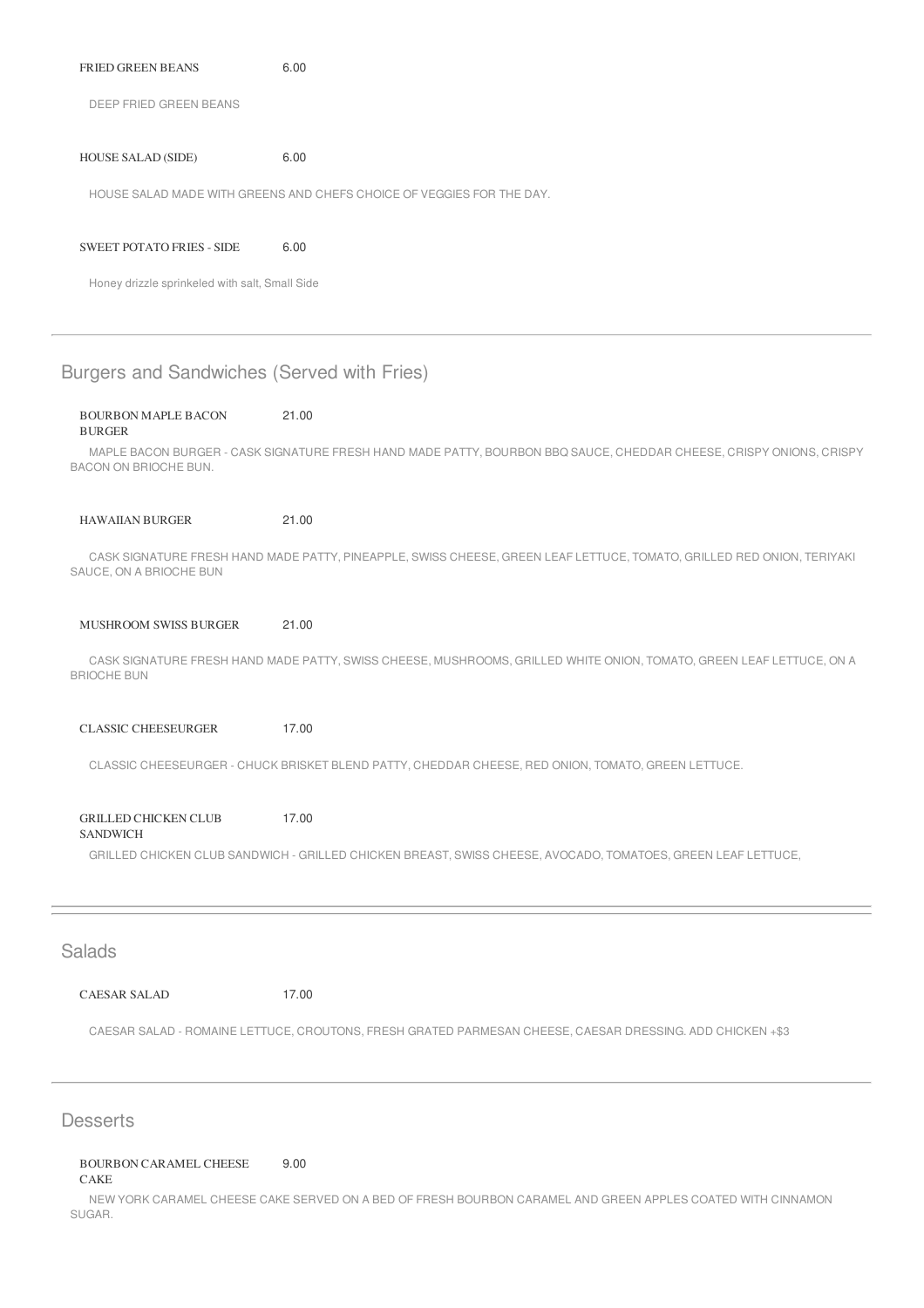| <b>FRIED GREEN BEANS</b> | 6.00 |  |
|--------------------------|------|--|
| DEEP FRIED GREEN BEANS   |      |  |

#### HOUSE SALAD (SIDE) 6.00

HOUSE SALAD MADE WITH GREENS AND CHEFS CHOICE OF VEGGIES FOR THE DAY.

#### SWEET POTATO FRIES - SIDE 6.00

Honey drizzle sprinkeled with salt, Small Side

## Burgers and Sandwiches (Served with Fries)

#### BOURBON MAPLE BACON 21.00

#### BURGER

MAPLE BACON BURGER - CASK SIGNATURE FRESH HAND MADE PATTY, BOURBON BBQ SAUCE, CHEDDAR CHEESE, CRISPY ONIONS, CRISPY BACON ON BRIOCHE BUN.

HAWAIIAN BURGER 21.00

CASK SIGNATURE FRESH HAND MADE PATTY, PINEAPPLE, SWISS CHEESE, GREEN LEAF LETTUCE, TOMATO, GRILLED RED ONION, TERIYAKI SAUCE, ON A BRIOCHE BUN

#### MUSHROOM SWISS BURGER 21.00

CASK SIGNATURE FRESH HAND MADE PATTY, SWISS CHEESE, MUSHROOMS, GRILLED WHITE ONION, TOMATO, GREEN LEAF LETTUCE, ON A BRIOCHE BUN

CLASSIC CHEESEURGER 17.00

CLASSIC CHEESEURGER - CHUCK BRISKET BLEND PATTY, CHEDDAR CHEESE, RED ONION, TOMATO, GREEN LETTUCE.

GRILLED CHICKEN CLUB **SANDWICH** 17.00 GRILLED CHICKEN CLUB SANDWICH - GRILLED CHICKEN BREAST, SWISS CHEESE, AVOCADO, TOMATOES, GREEN LEAF LETTUCE,

## **Salads**

CAESAR SALAD 17.00

CAESAR SALAD - ROMAINE LETTUCE, CROUTONS, FRESH GRATED PARMESAN CHEESE, CAESAR DRESSING. ADD CHICKEN +\$3

### **Desserts**

#### BOURBON CARAMEL CHEESE 9.00

CAKE

NEW YORK CARAMEL CHEESE CAKE SERVED ON A BED OF FRESH BOURBON CARAMEL AND GREEN APPLES COATED WITH CINNAMON SUGAR.